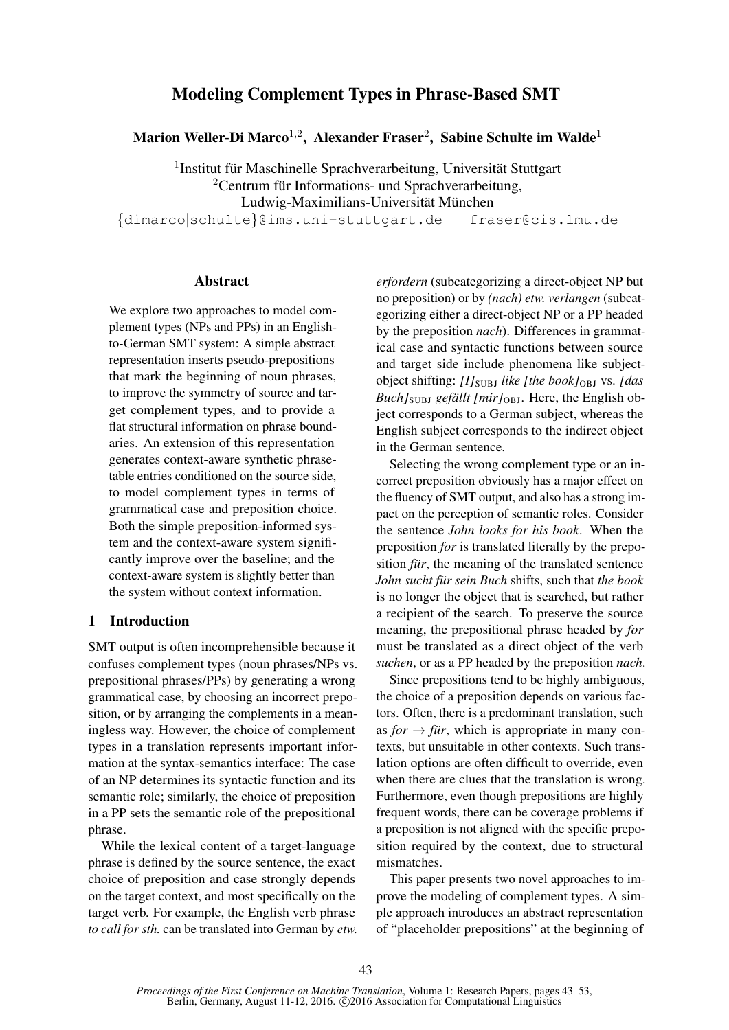# Modeling Complement Types in Phrase-Based SMT

Marion Weller-Di Marco $^{1,2}$ , Alexander Fraser $^2$ , Sabine Schulte im Walde $^1$ 

<sup>1</sup>Institut für Maschinelle Sprachverarbeitung, Universität Stuttgart  $2$ Centrum für Informations- und Sprachverarbeitung, Ludwig-Maximilians-Universität München

{dimarco|schulte}@ims.uni-stuttgart.de fraser@cis.lmu.de

### Abstract

We explore two approaches to model complement types (NPs and PPs) in an Englishto-German SMT system: A simple abstract representation inserts pseudo-prepositions that mark the beginning of noun phrases, to improve the symmetry of source and target complement types, and to provide a flat structural information on phrase boundaries. An extension of this representation generates context-aware synthetic phrasetable entries conditioned on the source side, to model complement types in terms of grammatical case and preposition choice. Both the simple preposition-informed system and the context-aware system significantly improve over the baseline; and the context-aware system is slightly better than the system without context information.

### 1 Introduction

SMT output is often incomprehensible because it confuses complement types (noun phrases/NPs vs. prepositional phrases/PPs) by generating a wrong grammatical case, by choosing an incorrect preposition, or by arranging the complements in a meaningless way. However, the choice of complement types in a translation represents important information at the syntax-semantics interface: The case of an NP determines its syntactic function and its semantic role; similarly, the choice of preposition in a PP sets the semantic role of the prepositional phrase.

While the lexical content of a target-language phrase is defined by the source sentence, the exact choice of preposition and case strongly depends on the target context, and most specifically on the target verb. For example, the English verb phrase *to call for sth.* can be translated into German by *etw.*

*erfordern* (subcategorizing a direct-object NP but no preposition) or by *(nach) etw. verlangen* (subcategorizing either a direct-object NP or a PP headed by the preposition *nach*). Differences in grammatical case and syntactic functions between source and target side include phenomena like subjectobject shifting: *[I]*<sub>SUBJ</sub> *like [the book]*<sub>OBJ</sub> vs. *[das*] *Buch]*<sub>SUBJ</sub> *gefällt* [*mir]*<sub>OBJ</sub>. Here, the English object corresponds to a German subject, whereas the English subject corresponds to the indirect object in the German sentence.

Selecting the wrong complement type or an incorrect preposition obviously has a major effect on the fluency of SMT output, and also has a strong impact on the perception of semantic roles. Consider the sentence *John looks for his book*. When the preposition *for* is translated literally by the preposition *für*, the meaning of the translated sentence *John sucht für sein Buch shifts, such that the book* is no longer the object that is searched, but rather a recipient of the search. To preserve the source meaning, the prepositional phrase headed by *for* must be translated as a direct object of the verb *suchen*, or as a PP headed by the preposition *nach*.

Since prepositions tend to be highly ambiguous, the choice of a preposition depends on various factors. Often, there is a predominant translation, such as  $for \rightarrow \text{für}$ , which is appropriate in many contexts, but unsuitable in other contexts. Such translation options are often difficult to override, even when there are clues that the translation is wrong. Furthermore, even though prepositions are highly frequent words, there can be coverage problems if a preposition is not aligned with the specific preposition required by the context, due to structural mismatches.

This paper presents two novel approaches to improve the modeling of complement types. A simple approach introduces an abstract representation of "placeholder prepositions" at the beginning of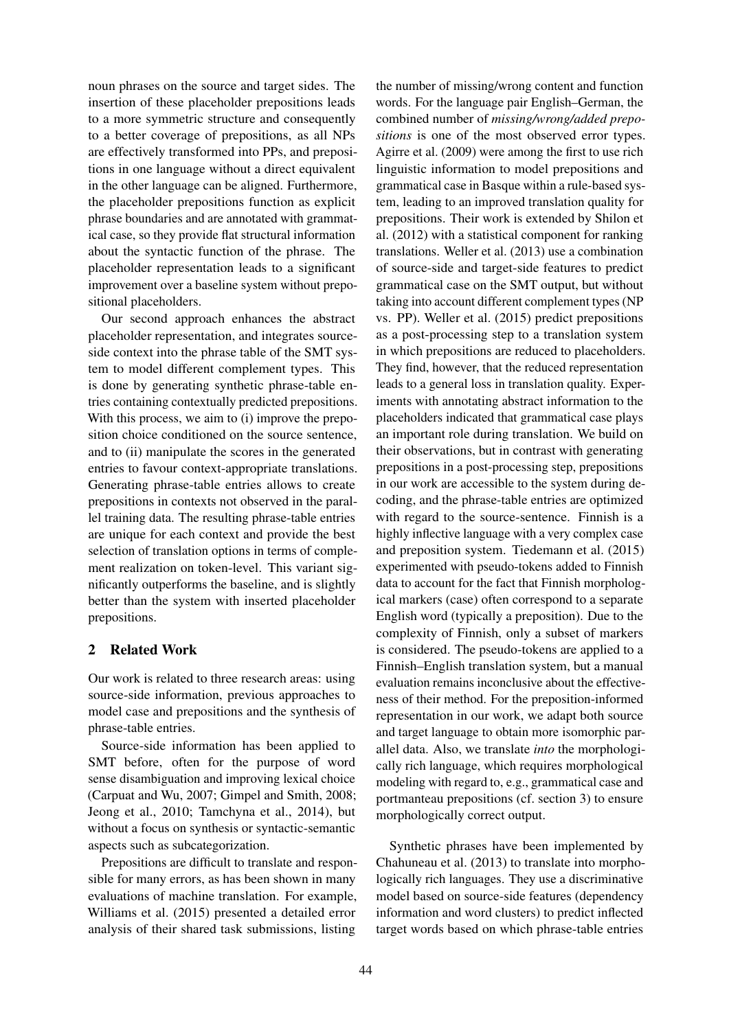noun phrases on the source and target sides. The insertion of these placeholder prepositions leads to a more symmetric structure and consequently to a better coverage of prepositions, as all NPs are effectively transformed into PPs, and prepositions in one language without a direct equivalent in the other language can be aligned. Furthermore, the placeholder prepositions function as explicit phrase boundaries and are annotated with grammatical case, so they provide flat structural information about the syntactic function of the phrase. The placeholder representation leads to a significant improvement over a baseline system without prepositional placeholders.

Our second approach enhances the abstract placeholder representation, and integrates sourceside context into the phrase table of the SMT system to model different complement types. This is done by generating synthetic phrase-table entries containing contextually predicted prepositions. With this process, we aim to (i) improve the preposition choice conditioned on the source sentence, and to (ii) manipulate the scores in the generated entries to favour context-appropriate translations. Generating phrase-table entries allows to create prepositions in contexts not observed in the parallel training data. The resulting phrase-table entries are unique for each context and provide the best selection of translation options in terms of complement realization on token-level. This variant significantly outperforms the baseline, and is slightly better than the system with inserted placeholder prepositions.

# 2 Related Work

Our work is related to three research areas: using source-side information, previous approaches to model case and prepositions and the synthesis of phrase-table entries.

Source-side information has been applied to SMT before, often for the purpose of word sense disambiguation and improving lexical choice (Carpuat and Wu, 2007; Gimpel and Smith, 2008; Jeong et al., 2010; Tamchyna et al., 2014), but without a focus on synthesis or syntactic-semantic aspects such as subcategorization.

Prepositions are difficult to translate and responsible for many errors, as has been shown in many evaluations of machine translation. For example, Williams et al. (2015) presented a detailed error analysis of their shared task submissions, listing

the number of missing/wrong content and function words. For the language pair English–German, the combined number of *missing/wrong/added prepositions* is one of the most observed error types. Agirre et al. (2009) were among the first to use rich linguistic information to model prepositions and grammatical case in Basque within a rule-based system, leading to an improved translation quality for prepositions. Their work is extended by Shilon et al. (2012) with a statistical component for ranking translations. Weller et al. (2013) use a combination of source-side and target-side features to predict grammatical case on the SMT output, but without taking into account different complement types (NP vs. PP). Weller et al. (2015) predict prepositions as a post-processing step to a translation system in which prepositions are reduced to placeholders. They find, however, that the reduced representation leads to a general loss in translation quality. Experiments with annotating abstract information to the placeholders indicated that grammatical case plays an important role during translation. We build on their observations, but in contrast with generating prepositions in a post-processing step, prepositions in our work are accessible to the system during decoding, and the phrase-table entries are optimized with regard to the source-sentence. Finnish is a highly inflective language with a very complex case and preposition system. Tiedemann et al. (2015) experimented with pseudo-tokens added to Finnish data to account for the fact that Finnish morphological markers (case) often correspond to a separate English word (typically a preposition). Due to the complexity of Finnish, only a subset of markers is considered. The pseudo-tokens are applied to a Finnish–English translation system, but a manual evaluation remains inconclusive about the effectiveness of their method. For the preposition-informed representation in our work, we adapt both source and target language to obtain more isomorphic parallel data. Also, we translate *into* the morphologically rich language, which requires morphological modeling with regard to, e.g., grammatical case and portmanteau prepositions (cf. section 3) to ensure morphologically correct output.

Synthetic phrases have been implemented by Chahuneau et al. (2013) to translate into morphologically rich languages. They use a discriminative model based on source-side features (dependency information and word clusters) to predict inflected target words based on which phrase-table entries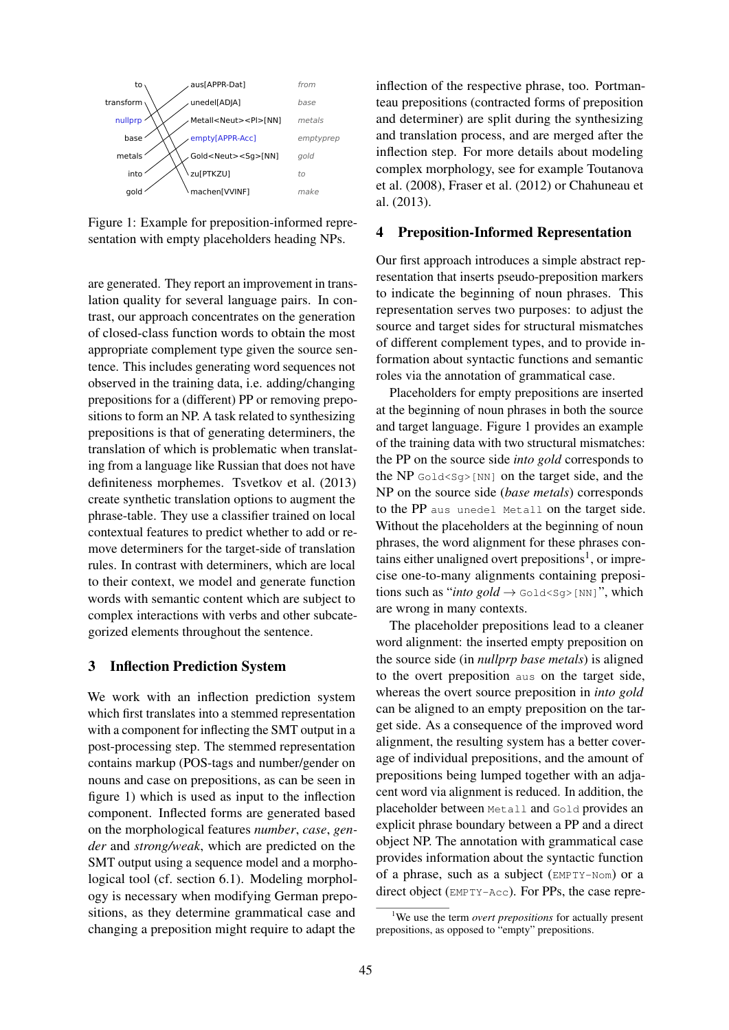

Figure 1: Example for preposition-informed representation with empty placeholders heading NPs.

are generated. They report an improvement in translation quality for several language pairs. In contrast, our approach concentrates on the generation of closed-class function words to obtain the most appropriate complement type given the source sentence. This includes generating word sequences not observed in the training data, i.e. adding/changing prepositions for a (different) PP or removing prepositions to form an NP. A task related to synthesizing prepositions is that of generating determiners, the translation of which is problematic when translating from a language like Russian that does not have definiteness morphemes. Tsvetkov et al. (2013) create synthetic translation options to augment the phrase-table. They use a classifier trained on local contextual features to predict whether to add or remove determiners for the target-side of translation rules. In contrast with determiners, which are local to their context, we model and generate function words with semantic content which are subject to complex interactions with verbs and other subcategorized elements throughout the sentence.

# 3 Inflection Prediction System

We work with an inflection prediction system which first translates into a stemmed representation with a component for inflecting the SMT output in a post-processing step. The stemmed representation contains markup (POS-tags and number/gender on nouns and case on prepositions, as can be seen in figure 1) which is used as input to the inflection component. Inflected forms are generated based on the morphological features *number*, *case*, *gender* and *strong/weak*, which are predicted on the SMT output using a sequence model and a morphological tool (cf. section 6.1). Modeling morphology is necessary when modifying German prepositions, as they determine grammatical case and changing a preposition might require to adapt the inflection of the respective phrase, too. Portmanteau prepositions (contracted forms of preposition and determiner) are split during the synthesizing and translation process, and are merged after the inflection step. For more details about modeling complex morphology, see for example Toutanova et al. (2008), Fraser et al. (2012) or Chahuneau et al. (2013).

# 4 Preposition-Informed Representation

Our first approach introduces a simple abstract representation that inserts pseudo-preposition markers to indicate the beginning of noun phrases. This representation serves two purposes: to adjust the source and target sides for structural mismatches of different complement types, and to provide information about syntactic functions and semantic roles via the annotation of grammatical case.

Placeholders for empty prepositions are inserted at the beginning of noun phrases in both the source and target language. Figure 1 provides an example of the training data with two structural mismatches: the PP on the source side *into gold* corresponds to the NP  $Gold[\text{NN}]$  on the target side, and the NP on the source side (*base metals*) corresponds to the PP aus unedel Metall on the target side. Without the placeholders at the beginning of noun phrases, the word alignment for these phrases contains either unaligned overt prepositions<sup>1</sup>, or imprecise one-to-many alignments containing prepositions such as "*into gold*  $\rightarrow$  Gold<Sq>[NN]", which are wrong in many contexts.

The placeholder prepositions lead to a cleaner word alignment: the inserted empty preposition on the source side (in *nullprp base metals*) is aligned to the overt preposition aus on the target side, whereas the overt source preposition in *into gold* can be aligned to an empty preposition on the target side. As a consequence of the improved word alignment, the resulting system has a better coverage of individual prepositions, and the amount of prepositions being lumped together with an adjacent word via alignment is reduced. In addition, the placeholder between Metall and Gold provides an explicit phrase boundary between a PP and a direct object NP. The annotation with grammatical case provides information about the syntactic function of a phrase, such as a subject (EMPTY-Nom) or a direct object (EMPTY-Acc). For PPs, the case repre-

<sup>1</sup>We use the term *overt prepositions* for actually present prepositions, as opposed to "empty" prepositions.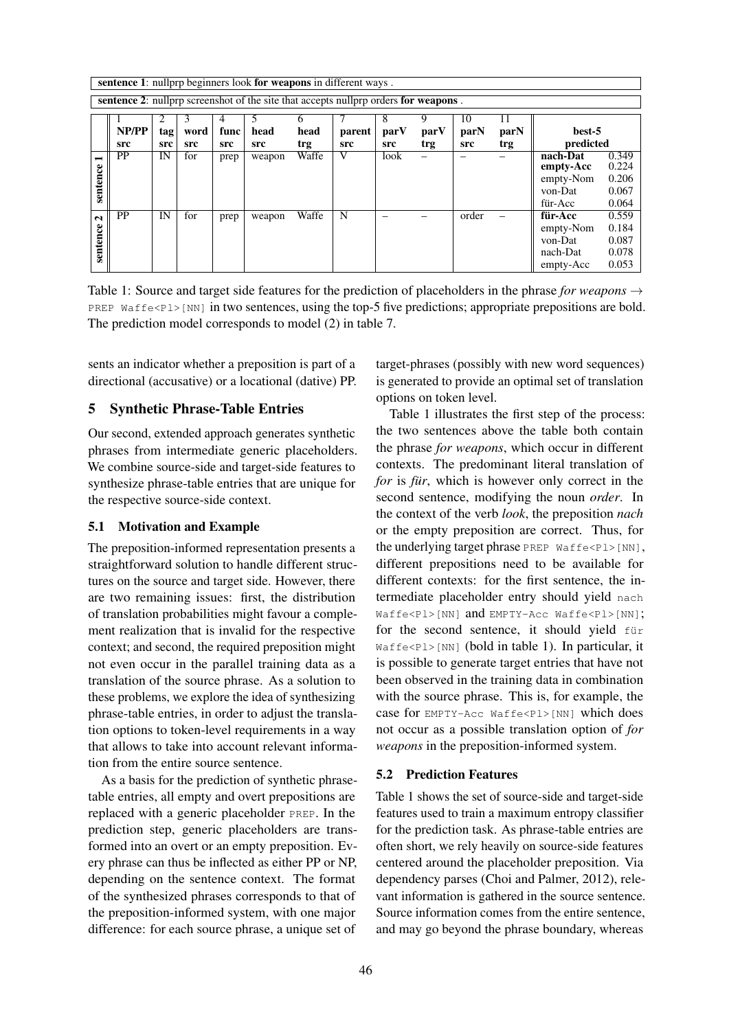|                | sentence 1: nullprp beginners look for weapons in different ways.                          |     |      |      |        |       |        |      |      |       |      |           |       |
|----------------|--------------------------------------------------------------------------------------------|-----|------|------|--------|-------|--------|------|------|-------|------|-----------|-------|
|                | <b>sentence 2:</b> nullprp screenshot of the site that accepts nullprp orders for weapons. |     |      |      |        |       |        |      |      |       |      |           |       |
|                |                                                                                            | 2   | 3    | 4    | 5      | 6     | 7      | 8    | 9    | 10    | 11   |           |       |
|                | NP/PP                                                                                      | tag | word | func | head   | head  | parent | parV | parV | parN  | parN | best-5    |       |
|                | src                                                                                        | src | src  | src  | src    | trg   | src    | src  | trg  | src   | trg  | predicted |       |
| $\blacksquare$ | <b>PP</b>                                                                                  | IN  | for  | prep | weapon | Waffe | V      | look |      |       |      | nach-Dat  | 0.349 |
|                |                                                                                            |     |      |      |        |       |        |      |      |       |      | empty-Acc | 0.224 |
| sentence       |                                                                                            |     |      |      |        |       |        |      |      |       |      | empty-Nom | 0.206 |
|                |                                                                                            |     |      |      |        |       |        |      |      |       |      | von-Dat   | 0.067 |
|                |                                                                                            |     |      |      |        |       |        |      |      |       |      | für-Acc   | 0.064 |
| $\mathbf{C}$   | <b>PP</b>                                                                                  | IN  | for  | prep | weapon | Waffe | N      |      |      | order |      | für-Acc   | 0.559 |
|                |                                                                                            |     |      |      |        |       |        |      |      |       |      | empty-Nom | 0.184 |
|                |                                                                                            |     |      |      |        |       |        |      |      |       |      | von-Dat   | 0.087 |
| sentence       |                                                                                            |     |      |      |        |       |        |      |      |       |      | nach-Dat  | 0.078 |
|                |                                                                                            |     |      |      |        |       |        |      |      |       |      | empty-Acc | 0.053 |

Table 1: Source and target side features for the prediction of placeholders in the phrase *for weapons* → PREP Waffe<Pl>[NN] in two sentences, using the top-5 five predictions; appropriate prepositions are bold. The prediction model corresponds to model (2) in table 7.

sents an indicator whether a preposition is part of a directional (accusative) or a locational (dative) PP.

### 5 Synthetic Phrase-Table Entries

Our second, extended approach generates synthetic phrases from intermediate generic placeholders. We combine source-side and target-side features to synthesize phrase-table entries that are unique for the respective source-side context.

### 5.1 Motivation and Example

The preposition-informed representation presents a straightforward solution to handle different structures on the source and target side. However, there are two remaining issues: first, the distribution of translation probabilities might favour a complement realization that is invalid for the respective context; and second, the required preposition might not even occur in the parallel training data as a translation of the source phrase. As a solution to these problems, we explore the idea of synthesizing phrase-table entries, in order to adjust the translation options to token-level requirements in a way that allows to take into account relevant information from the entire source sentence.

As a basis for the prediction of synthetic phrasetable entries, all empty and overt prepositions are replaced with a generic placeholder PREP. In the prediction step, generic placeholders are transformed into an overt or an empty preposition. Every phrase can thus be inflected as either PP or NP, depending on the sentence context. The format of the synthesized phrases corresponds to that of the preposition-informed system, with one major difference: for each source phrase, a unique set of

target-phrases (possibly with new word sequences) is generated to provide an optimal set of translation options on token level.

Table 1 illustrates the first step of the process: the two sentences above the table both contain the phrase *for weapons*, which occur in different contexts. The predominant literal translation of *for* is *für*, which is however only correct in the second sentence, modifying the noun *order*. In the context of the verb *look*, the preposition *nach* or the empty preposition are correct. Thus, for the underlying target phrase PREP Waffe<Pl>[NN], different prepositions need to be available for different contexts: for the first sentence, the intermediate placeholder entry should yield nach Waffe<Pl>[NN] and EMPTY-Acc Waffe<Pl>[NN]; for the second sentence, it should yield für Waffe<Pl>[NN] (bold in table 1). In particular, it is possible to generate target entries that have not been observed in the training data in combination with the source phrase. This is, for example, the case for EMPTY-Acc Waffe<Pl>[NN] which does not occur as a possible translation option of *for weapons* in the preposition-informed system.

#### 5.2 Prediction Features

Table 1 shows the set of source-side and target-side features used to train a maximum entropy classifier for the prediction task. As phrase-table entries are often short, we rely heavily on source-side features centered around the placeholder preposition. Via dependency parses (Choi and Palmer, 2012), relevant information is gathered in the source sentence. Source information comes from the entire sentence, and may go beyond the phrase boundary, whereas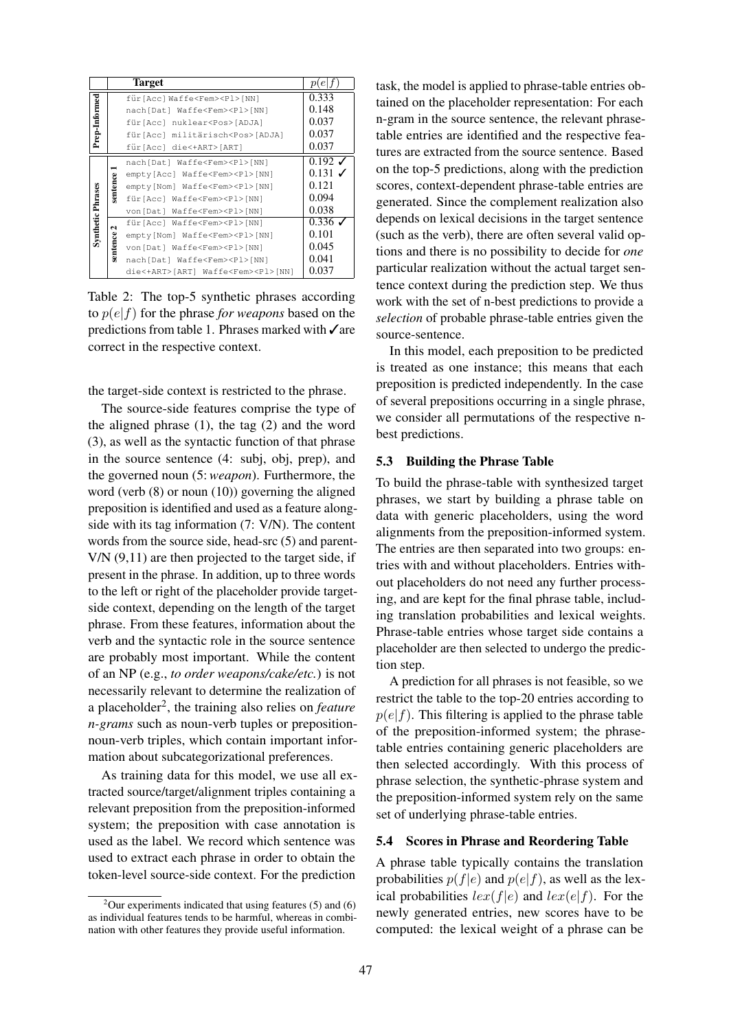|                          |          | <b>Target</b>                                 | p(e                  |
|--------------------------|----------|-----------------------------------------------|----------------------|
|                          |          | für [Acc] Waffe <fem><pl> [NN]</pl></fem>     | 0.333                |
|                          |          | nach[Dat] Waffe <fem><pl>[NN]</pl></fem>      | 0.148                |
|                          |          | für [Acc] nuklear <pos> [ADJA]</pos>          | 0.037                |
| Prep-Informed            |          | für [Acc] militärisch <pos> [ADJA]</pos>      | 0.037                |
|                          |          | für [Acc] die<+ART> [ART]                     | 0.037                |
|                          | sentence | nach[Dat] Waffe <fem><pl>[NN]</pl></fem>      | $0.192 \, J$         |
|                          |          | empty[Acc] Waffe <fem><pl>[NN]</pl></fem>     | $0.131$ $\checkmark$ |
|                          |          | empty[Nom] Waffe <fem><pl>[NN]</pl></fem>     | 0.121                |
|                          |          | für [Acc] Waffe <fem><pl> [NN]</pl></fem>     | 0.094                |
| <b>Synthetic Phrases</b> |          | von[Dat] Waffe <fem><pl>[NN]</pl></fem>       | 0.038                |
|                          | 2        | für [Acc] Waffe <fem><pl> [NN]</pl></fem>     | $0.336\sqrt{ }$      |
|                          |          | empty [Nom] Waffe <fem><pl> [NN]</pl></fem>   | 0.101                |
|                          | sentence | von[Dat] Waffe <fem><pl>[NN]</pl></fem>       | 0.045                |
|                          |          | nach[Dat] Waffe <fem><pl>[NN]</pl></fem>      | 0.041                |
|                          |          | die<+ART>[ART] Waffe <fem><pl>[NN]</pl></fem> | 0.037                |

Table 2: The top-5 synthetic phrases according to p(e|f) for the phrase *for weapons* based on the predictions from table 1. Phrases marked with ∕are correct in the respective context.

the target-side context is restricted to the phrase.

The source-side features comprise the type of the aligned phrase (1), the tag (2) and the word (3), as well as the syntactic function of that phrase in the source sentence (4: subj, obj, prep), and the governed noun (5:*weapon*). Furthermore, the word (verb (8) or noun (10)) governing the aligned preposition is identified and used as a feature alongside with its tag information (7: V/N). The content words from the source side, head-src (5) and parent-V/N (9,11) are then projected to the target side, if present in the phrase. In addition, up to three words to the left or right of the placeholder provide targetside context, depending on the length of the target phrase. From these features, information about the verb and the syntactic role in the source sentence are probably most important. While the content of an NP (e.g., *to order weapons/cake/etc.*) is not necessarily relevant to determine the realization of a placeholder<sup>2</sup>, the training also relies on *feature n-grams* such as noun-verb tuples or prepositionnoun-verb triples, which contain important information about subcategorizational preferences.

As training data for this model, we use all extracted source/target/alignment triples containing a relevant preposition from the preposition-informed system; the preposition with case annotation is used as the label. We record which sentence was used to extract each phrase in order to obtain the token-level source-side context. For the prediction task, the model is applied to phrase-table entries obtained on the placeholder representation: For each n-gram in the source sentence, the relevant phrasetable entries are identified and the respective features are extracted from the source sentence. Based on the top-5 predictions, along with the prediction scores, context-dependent phrase-table entries are generated. Since the complement realization also depends on lexical decisions in the target sentence (such as the verb), there are often several valid options and there is no possibility to decide for *one* particular realization without the actual target sentence context during the prediction step. We thus work with the set of n-best predictions to provide a *selection* of probable phrase-table entries given the source-sentence.

In this model, each preposition to be predicted is treated as one instance; this means that each preposition is predicted independently. In the case of several prepositions occurring in a single phrase, we consider all permutations of the respective nbest predictions.

#### 5.3 Building the Phrase Table

To build the phrase-table with synthesized target phrases, we start by building a phrase table on data with generic placeholders, using the word alignments from the preposition-informed system. The entries are then separated into two groups: entries with and without placeholders. Entries without placeholders do not need any further processing, and are kept for the final phrase table, including translation probabilities and lexical weights. Phrase-table entries whose target side contains a placeholder are then selected to undergo the prediction step.

A prediction for all phrases is not feasible, so we restrict the table to the top-20 entries according to  $p(e|f)$ . This filtering is applied to the phrase table of the preposition-informed system; the phrasetable entries containing generic placeholders are then selected accordingly. With this process of phrase selection, the synthetic-phrase system and the preposition-informed system rely on the same set of underlying phrase-table entries.

### 5.4 Scores in Phrase and Reordering Table

A phrase table typically contains the translation probabilities  $p(f|e)$  and  $p(e|f)$ , as well as the lexical probabilities  $lex(f|e)$  and  $lex(e|f)$ . For the newly generated entries, new scores have to be computed: the lexical weight of a phrase can be

 $2$ Our experiments indicated that using features (5) and (6) as individual features tends to be harmful, whereas in combination with other features they provide useful information.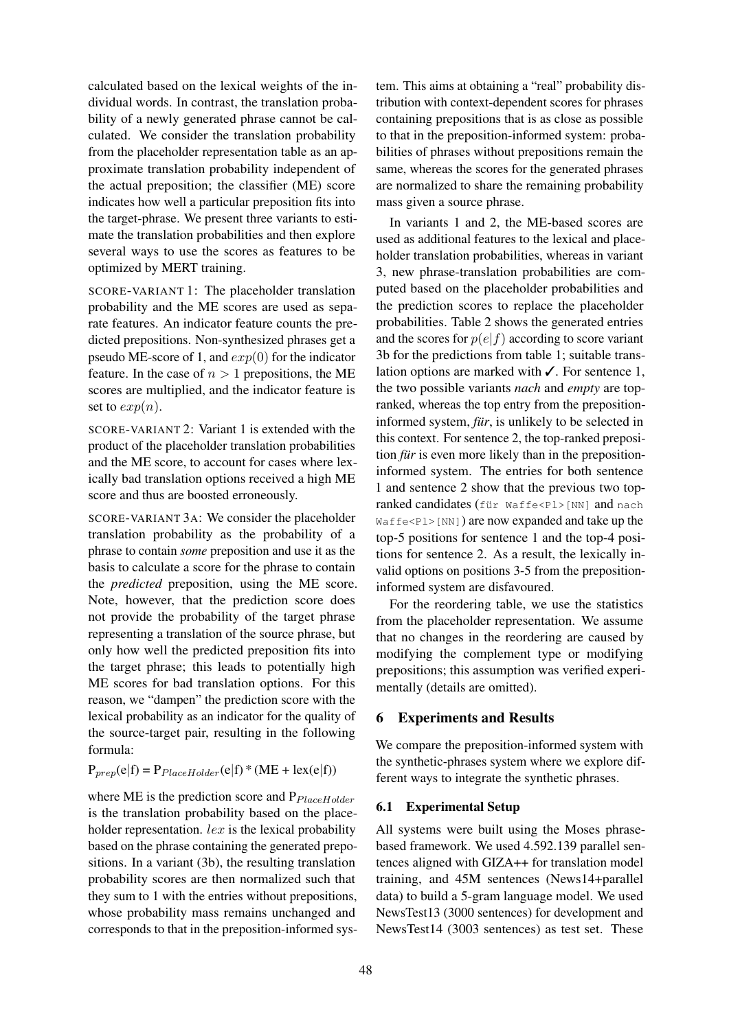calculated based on the lexical weights of the individual words. In contrast, the translation probability of a newly generated phrase cannot be calculated. We consider the translation probability from the placeholder representation table as an approximate translation probability independent of the actual preposition; the classifier (ME) score indicates how well a particular preposition fits into the target-phrase. We present three variants to estimate the translation probabilities and then explore several ways to use the scores as features to be optimized by MERT training.

SCORE-VARIANT 1: The placeholder translation probability and the ME scores are used as separate features. An indicator feature counts the predicted prepositions. Non-synthesized phrases get a pseudo ME-score of 1, and  $exp(0)$  for the indicator feature. In the case of  $n > 1$  prepositions, the ME scores are multiplied, and the indicator feature is set to  $exp(n)$ .

SCORE-VARIANT 2: Variant 1 is extended with the product of the placeholder translation probabilities and the ME score, to account for cases where lexically bad translation options received a high ME score and thus are boosted erroneously.

SCORE-VARIANT 3A: We consider the placeholder translation probability as the probability of a phrase to contain *some* preposition and use it as the basis to calculate a score for the phrase to contain the *predicted* preposition, using the ME score. Note, however, that the prediction score does not provide the probability of the target phrase representing a translation of the source phrase, but only how well the predicted preposition fits into the target phrase; this leads to potentially high ME scores for bad translation options. For this reason, we "dampen" the prediction score with the lexical probability as an indicator for the quality of the source-target pair, resulting in the following formula:

$$
P_{prep}(e|f) = P_{PlaceHolder}(e|f) * (ME + lex(e|f))
$$

where ME is the prediction score and  $P_{PlaceHolder}$ is the translation probability based on the placeholder representation. *lex* is the lexical probability based on the phrase containing the generated prepositions. In a variant (3b), the resulting translation probability scores are then normalized such that they sum to 1 with the entries without prepositions, whose probability mass remains unchanged and corresponds to that in the preposition-informed system. This aims at obtaining a "real" probability distribution with context-dependent scores for phrases containing prepositions that is as close as possible to that in the preposition-informed system: probabilities of phrases without prepositions remain the same, whereas the scores for the generated phrases are normalized to share the remaining probability mass given a source phrase.

In variants 1 and 2, the ME-based scores are used as additional features to the lexical and placeholder translation probabilities, whereas in variant 3, new phrase-translation probabilities are computed based on the placeholder probabilities and the prediction scores to replace the placeholder probabilities. Table 2 shows the generated entries and the scores for  $p(e|f)$  according to score variant 3b for the predictions from table 1; suitable translation options are marked with  $\checkmark$ . For sentence 1, the two possible variants *nach* and *empty* are topranked, whereas the top entry from the prepositioninformed system, *für*, is unlikely to be selected in this context. For sentence 2, the top-ranked preposition *für* is even more likely than in the prepositioninformed system. The entries for both sentence 1 and sentence 2 show that the previous two topranked candidates (für Waffe<Pl>[NN] and nach  $Waffe < P1 > [NN]$  are now expanded and take up the top-5 positions for sentence 1 and the top-4 positions for sentence 2. As a result, the lexically invalid options on positions 3-5 from the prepositioninformed system are disfavoured.

For the reordering table, we use the statistics from the placeholder representation. We assume that no changes in the reordering are caused by modifying the complement type or modifying prepositions; this assumption was verified experimentally (details are omitted).

# 6 Experiments and Results

We compare the preposition-informed system with the synthetic-phrases system where we explore different ways to integrate the synthetic phrases.

# 6.1 Experimental Setup

All systems were built using the Moses phrasebased framework. We used 4.592.139 parallel sentences aligned with GIZA++ for translation model training, and 45M sentences (News14+parallel data) to build a 5-gram language model. We used NewsTest13 (3000 sentences) for development and NewsTest14 (3003 sentences) as test set. These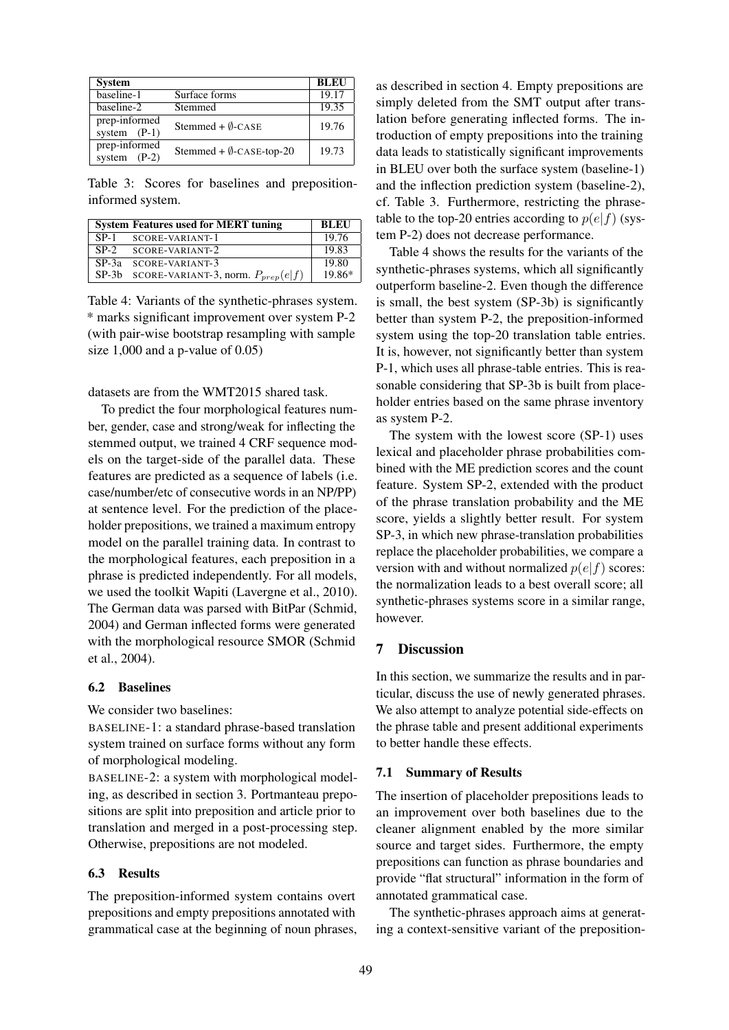| <b>System</b>                   |                                    | <b>BLEU</b> |
|---------------------------------|------------------------------------|-------------|
| baseline-1                      | Surface forms                      | 19.17       |
| baseline-2                      | Stemmed                            | 19.35       |
| prep-informed<br>system $(P-1)$ | Stemmed + $\emptyset$ -CASE        | 19.76       |
| prep-informed<br>system $(P-2)$ | Stemmed + $\emptyset$ -CASE-top-20 | 19.73       |

Table 3: Scores for baselines and prepositioninformed system.

| <b>System Features used for MERT tuning</b>  | <b>BLEU</b> |
|----------------------------------------------|-------------|
| SP-1 SCORE-VARIANT-1                         | 19.76       |
| SP-2 SCORE-VARIANT-2                         | 19.83       |
| SP-3a SCORE-VARIANT-3                        | 19.80       |
| SP-3b SCORE-VARIANT-3, norm. $P_{prep}(e f)$ | 19.86*      |

Table 4: Variants of the synthetic-phrases system. \* marks significant improvement over system P-2 (with pair-wise bootstrap resampling with sample size 1,000 and a p-value of 0.05)

datasets are from the WMT2015 shared task.

To predict the four morphological features number, gender, case and strong/weak for inflecting the stemmed output, we trained 4 CRF sequence models on the target-side of the parallel data. These features are predicted as a sequence of labels (i.e. case/number/etc of consecutive words in an NP/PP) at sentence level. For the prediction of the placeholder prepositions, we trained a maximum entropy model on the parallel training data. In contrast to the morphological features, each preposition in a phrase is predicted independently. For all models, we used the toolkit Wapiti (Lavergne et al., 2010). The German data was parsed with BitPar (Schmid, 2004) and German inflected forms were generated with the morphological resource SMOR (Schmid et al., 2004).

### 6.2 Baselines

We consider two baselines:

BASELINE-1: a standard phrase-based translation system trained on surface forms without any form of morphological modeling.

BASELINE-2: a system with morphological modeling, as described in section 3. Portmanteau prepositions are split into preposition and article prior to translation and merged in a post-processing step. Otherwise, prepositions are not modeled.

#### 6.3 Results

The preposition-informed system contains overt prepositions and empty prepositions annotated with grammatical case at the beginning of noun phrases, as described in section 4. Empty prepositions are simply deleted from the SMT output after translation before generating inflected forms. The introduction of empty prepositions into the training data leads to statistically significant improvements in BLEU over both the surface system (baseline-1) and the inflection prediction system (baseline-2), cf. Table 3. Furthermore, restricting the phrasetable to the top-20 entries according to  $p(e|f)$  (system P-2) does not decrease performance.

Table 4 shows the results for the variants of the synthetic-phrases systems, which all significantly outperform baseline-2. Even though the difference is small, the best system (SP-3b) is significantly better than system P-2, the preposition-informed system using the top-20 translation table entries. It is, however, not significantly better than system P-1, which uses all phrase-table entries. This is reasonable considering that SP-3b is built from placeholder entries based on the same phrase inventory as system P-2.

The system with the lowest score (SP-1) uses lexical and placeholder phrase probabilities combined with the ME prediction scores and the count feature. System SP-2, extended with the product of the phrase translation probability and the ME score, yields a slightly better result. For system SP-3, in which new phrase-translation probabilities replace the placeholder probabilities, we compare a version with and without normalized  $p(e|f)$  scores: the normalization leads to a best overall score; all synthetic-phrases systems score in a similar range, however.

# 7 Discussion

In this section, we summarize the results and in particular, discuss the use of newly generated phrases. We also attempt to analyze potential side-effects on the phrase table and present additional experiments to better handle these effects.

#### 7.1 Summary of Results

The insertion of placeholder prepositions leads to an improvement over both baselines due to the cleaner alignment enabled by the more similar source and target sides. Furthermore, the empty prepositions can function as phrase boundaries and provide "flat structural" information in the form of annotated grammatical case.

The synthetic-phrases approach aims at generating a context-sensitive variant of the preposition-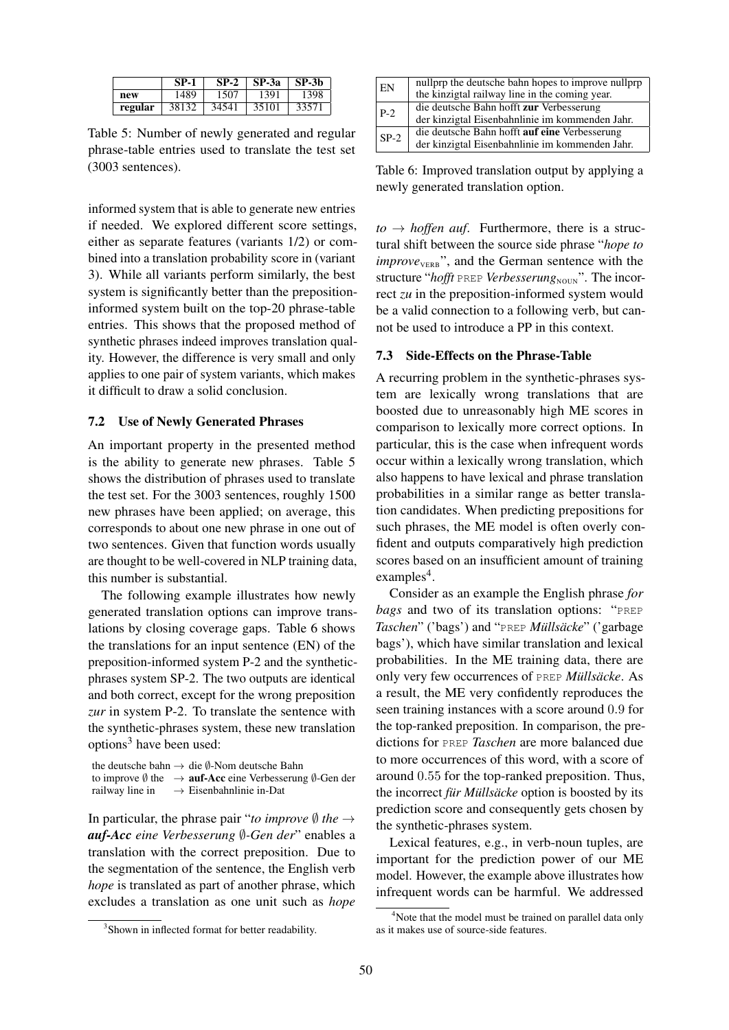|         | <b>SP-1</b> | $SP-2$ | SP-3a | SP-3b |
|---------|-------------|--------|-------|-------|
| new     | 1489        | 1507   | 1391  | 1398  |
| regular | 38132       | 34541  | 35101 | 33571 |

Table 5: Number of newly generated and regular phrase-table entries used to translate the test set (3003 sentences).

informed system that is able to generate new entries if needed. We explored different score settings, either as separate features (variants 1/2) or combined into a translation probability score in (variant 3). While all variants perform similarly, the best system is significantly better than the prepositioninformed system built on the top-20 phrase-table entries. This shows that the proposed method of synthetic phrases indeed improves translation quality. However, the difference is very small and only applies to one pair of system variants, which makes it difficult to draw a solid conclusion.

#### 7.2 Use of Newly Generated Phrases

An important property in the presented method is the ability to generate new phrases. Table 5 shows the distribution of phrases used to translate the test set. For the 3003 sentences, roughly 1500 new phrases have been applied; on average, this corresponds to about one new phrase in one out of two sentences. Given that function words usually are thought to be well-covered in NLP training data, this number is substantial.

The following example illustrates how newly generated translation options can improve translations by closing coverage gaps. Table 6 shows the translations for an input sentence (EN) of the preposition-informed system P-2 and the syntheticphrases system SP-2. The two outputs are identical and both correct, except for the wrong preposition *zur* in system P-2. To translate the sentence with the synthetic-phrases system, these new translation options<sup>3</sup> have been used:

the deutsche bahn → die ∅-Nom deutsche Bahn to improve Ø the  $\rightarrow$  **auf-Acc** eine Verbesserung Ø-Gen der railway line in  $\rightarrow$  Eisenbahnlinie in-Dat  $\rightarrow$  Eisenbahnlinie in-Dat

In particular, the phrase pair "*to improve*  $\emptyset$  *the*  $\rightarrow$ *auf-Acc eine Verbesserung* ∅*-Gen der*" enables a translation with the correct preposition. Due to the segmentation of the sentence, the English verb *hope* is translated as part of another phrase, which excludes a translation as one unit such as *hope*

| EN     | nullprp the deutsche bahn hopes to improve nullprp |
|--------|----------------------------------------------------|
|        | the kinzigtal railway line in the coming year.     |
| $P-2$  | die deutsche Bahn hofft zur Verbesserung           |
|        | der kinzigtal Eisenbahnlinie im kommenden Jahr.    |
| $SP-2$ | die deutsche Bahn hofft auf eine Verbesserung      |
|        | der kinzigtal Eisenbahnlinie im kommenden Jahr.    |

Table 6: Improved translation output by applying a newly generated translation option.

 $to \rightarrow hoffen \; auf.$  Furthermore, there is a structural shift between the source side phrase "*hope to*  $improve<sub>VERB</sub>$ ", and the German sentence with the structure "hofft PREP Verbesserung<sub>NOUN</sub>". The incorrect *zu* in the preposition-informed system would be a valid connection to a following verb, but cannot be used to introduce a PP in this context.

#### 7.3 Side-Effects on the Phrase-Table

A recurring problem in the synthetic-phrases system are lexically wrong translations that are boosted due to unreasonably high ME scores in comparison to lexically more correct options. In particular, this is the case when infrequent words occur within a lexically wrong translation, which also happens to have lexical and phrase translation probabilities in a similar range as better translation candidates. When predicting prepositions for such phrases, the ME model is often overly confident and outputs comparatively high prediction scores based on an insufficient amount of training examples<sup>4</sup>.

Consider as an example the English phrase *for bags* and two of its translation options: "PREP *Taschen*" ('bags') and "PREP *Müllsäcke*" ('garbage bags'), which have similar translation and lexical probabilities. In the ME training data, there are only very few occurrences of PREP *Müllsäcke*. As a result, the ME very confidently reproduces the seen training instances with a score around 0.9 for the top-ranked preposition. In comparison, the predictions for PREP *Taschen* are more balanced due to more occurrences of this word, with a score of around 0.55 for the top-ranked preposition. Thus, the incorrect *für Müllsäcke* option is boosted by its prediction score and consequently gets chosen by the synthetic-phrases system.

Lexical features, e.g., in verb-noun tuples, are important for the prediction power of our ME model. However, the example above illustrates how infrequent words can be harmful. We addressed

<sup>&</sup>lt;sup>3</sup>Shown in inflected format for better readability.

<sup>&</sup>lt;sup>4</sup>Note that the model must be trained on parallel data only as it makes use of source-side features.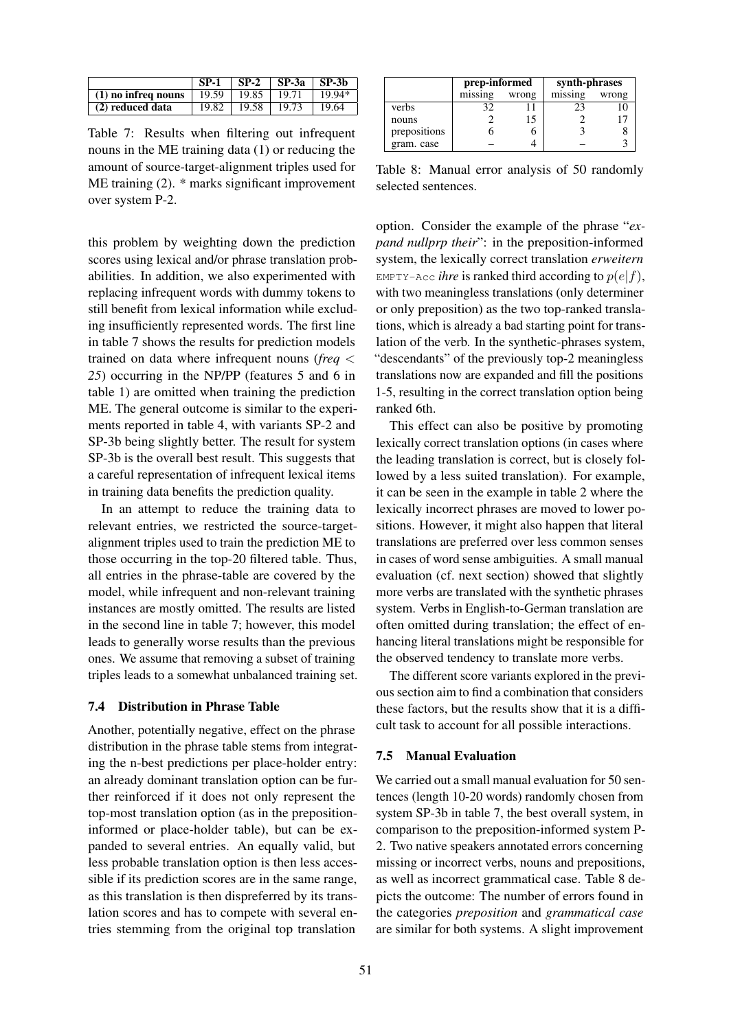|                       | -SP-1 |       | $ $ SP-2 $ $ SP-3a $ $ SP-3b |        |
|-----------------------|-------|-------|------------------------------|--------|
| $(1)$ no infreq nouns | 19.59 | 19.85 | 19.71                        | 19 94* |
| (2) reduced data      | 19.82 | 19.58 | 19.73                        | 19.64  |

Table 7: Results when filtering out infrequent nouns in the ME training data (1) or reducing the amount of source-target-alignment triples used for ME training (2). \* marks significant improvement over system P-2.

this problem by weighting down the prediction scores using lexical and/or phrase translation probabilities. In addition, we also experimented with replacing infrequent words with dummy tokens to still benefit from lexical information while excluding insufficiently represented words. The first line in table 7 shows the results for prediction models trained on data where infrequent nouns (*freq* < *25*) occurring in the NP/PP (features 5 and 6 in table 1) are omitted when training the prediction ME. The general outcome is similar to the experiments reported in table 4, with variants SP-2 and SP-3b being slightly better. The result for system SP-3b is the overall best result. This suggests that a careful representation of infrequent lexical items in training data benefits the prediction quality.

In an attempt to reduce the training data to relevant entries, we restricted the source-targetalignment triples used to train the prediction ME to those occurring in the top-20 filtered table. Thus, all entries in the phrase-table are covered by the model, while infrequent and non-relevant training instances are mostly omitted. The results are listed in the second line in table 7; however, this model leads to generally worse results than the previous ones. We assume that removing a subset of training triples leads to a somewhat unbalanced training set.

### 7.4 Distribution in Phrase Table

Another, potentially negative, effect on the phrase distribution in the phrase table stems from integrating the n-best predictions per place-holder entry: an already dominant translation option can be further reinforced if it does not only represent the top-most translation option (as in the prepositioninformed or place-holder table), but can be expanded to several entries. An equally valid, but less probable translation option is then less accessible if its prediction scores are in the same range, as this translation is then dispreferred by its translation scores and has to compete with several entries stemming from the original top translation

|              | prep-informed |       | synth-phrases |       |  |
|--------------|---------------|-------|---------------|-------|--|
|              | missing       | wrong | missing       | wrong |  |
| verbs        |               |       | 23            |       |  |
| nouns        |               | 15    |               |       |  |
| prepositions |               |       |               |       |  |
| gram. case   |               |       |               |       |  |

Table 8: Manual error analysis of 50 randomly selected sentences.

option. Consider the example of the phrase "*expand nullprp their*": in the preposition-informed system, the lexically correct translation *erweitern* EMPTY-Acc *ihre* is ranked third according to  $p(e|f)$ , with two meaningless translations (only determiner or only preposition) as the two top-ranked translations, which is already a bad starting point for translation of the verb. In the synthetic-phrases system, "descendants" of the previously top-2 meaningless translations now are expanded and fill the positions 1-5, resulting in the correct translation option being ranked 6th.

This effect can also be positive by promoting lexically correct translation options (in cases where the leading translation is correct, but is closely followed by a less suited translation). For example, it can be seen in the example in table 2 where the lexically incorrect phrases are moved to lower positions. However, it might also happen that literal translations are preferred over less common senses in cases of word sense ambiguities. A small manual evaluation (cf. next section) showed that slightly more verbs are translated with the synthetic phrases system. Verbs in English-to-German translation are often omitted during translation; the effect of enhancing literal translations might be responsible for the observed tendency to translate more verbs.

The different score variants explored in the previous section aim to find a combination that considers these factors, but the results show that it is a difficult task to account for all possible interactions.

### 7.5 Manual Evaluation

We carried out a small manual evaluation for 50 sentences (length 10-20 words) randomly chosen from system SP-3b in table 7, the best overall system, in comparison to the preposition-informed system P-2. Two native speakers annotated errors concerning missing or incorrect verbs, nouns and prepositions, as well as incorrect grammatical case. Table 8 depicts the outcome: The number of errors found in the categories *preposition* and *grammatical case* are similar for both systems. A slight improvement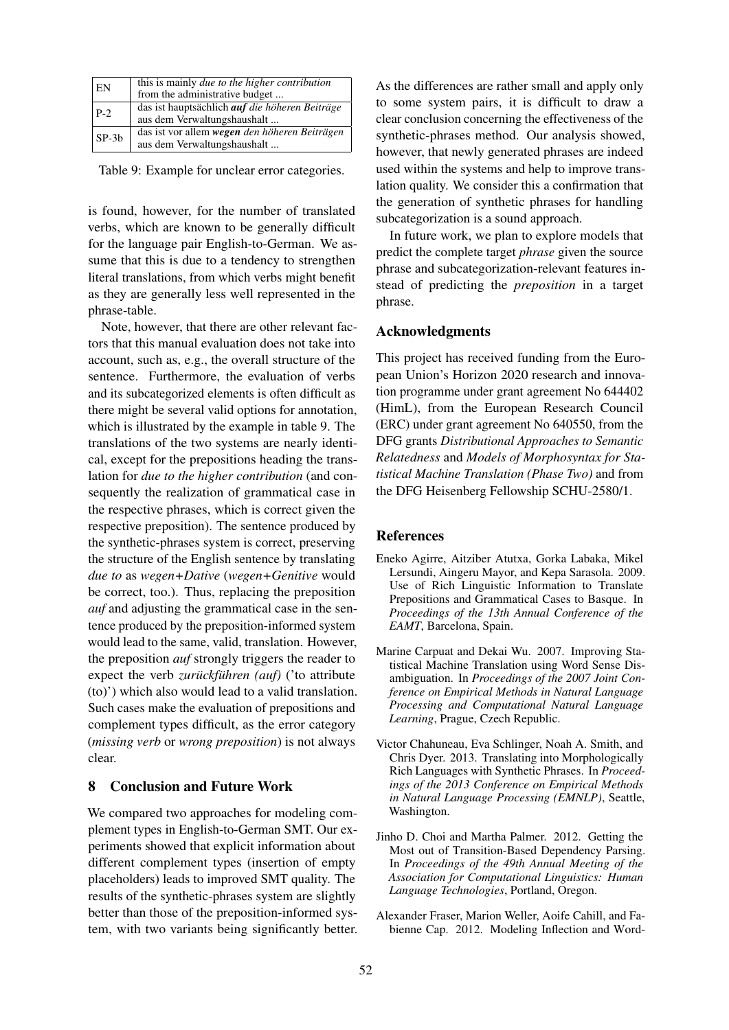| EN      | this is mainly <i>due to the higher contribution</i>  |
|---------|-------------------------------------------------------|
|         | from the administrative budget                        |
| $ P-2 $ | das ist hauptsächlich <i>auf die höheren Beiträge</i> |
|         | aus dem Verwaltungshaushalt                           |
| $SP-3h$ | das ist vor allem wegen den höheren Beiträgen         |
|         | aus dem Verwaltungshaushalt                           |

Table 9: Example for unclear error categories.

is found, however, for the number of translated verbs, which are known to be generally difficult for the language pair English-to-German. We assume that this is due to a tendency to strengthen literal translations, from which verbs might benefit as they are generally less well represented in the phrase-table.

Note, however, that there are other relevant factors that this manual evaluation does not take into account, such as, e.g., the overall structure of the sentence. Furthermore, the evaluation of verbs and its subcategorized elements is often difficult as there might be several valid options for annotation, which is illustrated by the example in table 9. The translations of the two systems are nearly identical, except for the prepositions heading the translation for *due to the higher contribution* (and consequently the realization of grammatical case in the respective phrases, which is correct given the respective preposition). The sentence produced by the synthetic-phrases system is correct, preserving the structure of the English sentence by translating *due to* as *wegen+Dative* (*wegen+Genitive* would be correct, too.). Thus, replacing the preposition *auf* and adjusting the grammatical case in the sentence produced by the preposition-informed system would lead to the same, valid, translation. However, the preposition *auf* strongly triggers the reader to expect the verb *zurückführen* (auf) ('to attribute (to)') which also would lead to a valid translation. Such cases make the evaluation of prepositions and complement types difficult, as the error category (*missing verb* or *wrong preposition*) is not always clear.

### 8 Conclusion and Future Work

We compared two approaches for modeling complement types in English-to-German SMT. Our experiments showed that explicit information about different complement types (insertion of empty placeholders) leads to improved SMT quality. The results of the synthetic-phrases system are slightly better than those of the preposition-informed system, with two variants being significantly better. As the differences are rather small and apply only to some system pairs, it is difficult to draw a clear conclusion concerning the effectiveness of the synthetic-phrases method. Our analysis showed, however, that newly generated phrases are indeed used within the systems and help to improve translation quality. We consider this a confirmation that the generation of synthetic phrases for handling subcategorization is a sound approach.

In future work, we plan to explore models that predict the complete target *phrase* given the source phrase and subcategorization-relevant features instead of predicting the *preposition* in a target phrase.

#### Acknowledgments

This project has received funding from the European Union's Horizon 2020 research and innovation programme under grant agreement No 644402 (HimL), from the European Research Council (ERC) under grant agreement No 640550, from the DFG grants *Distributional Approaches to Semantic Relatedness* and *Models of Morphosyntax for Statistical Machine Translation (Phase Two)* and from the DFG Heisenberg Fellowship SCHU-2580/1.

#### **References**

- Eneko Agirre, Aitziber Atutxa, Gorka Labaka, Mikel Lersundi, Aingeru Mayor, and Kepa Sarasola. 2009. Use of Rich Linguistic Information to Translate Prepositions and Grammatical Cases to Basque. In *Proceedings of the 13th Annual Conference of the EAMT*, Barcelona, Spain.
- Marine Carpuat and Dekai Wu. 2007. Improving Statistical Machine Translation using Word Sense Disambiguation. In *Proceedings of the 2007 Joint Conference on Empirical Methods in Natural Language Processing and Computational Natural Language Learning*, Prague, Czech Republic.
- Victor Chahuneau, Eva Schlinger, Noah A. Smith, and Chris Dyer. 2013. Translating into Morphologically Rich Languages with Synthetic Phrases. In *Proceedings of the 2013 Conference on Empirical Methods in Natural Language Processing (EMNLP)*, Seattle, Washington.
- Jinho D. Choi and Martha Palmer. 2012. Getting the Most out of Transition-Based Dependency Parsing. In *Proceedings of the 49th Annual Meeting of the Association for Computational Linguistics: Human Language Technologies*, Portland, Oregon.
- Alexander Fraser, Marion Weller, Aoife Cahill, and Fabienne Cap. 2012. Modeling Inflection and Word-